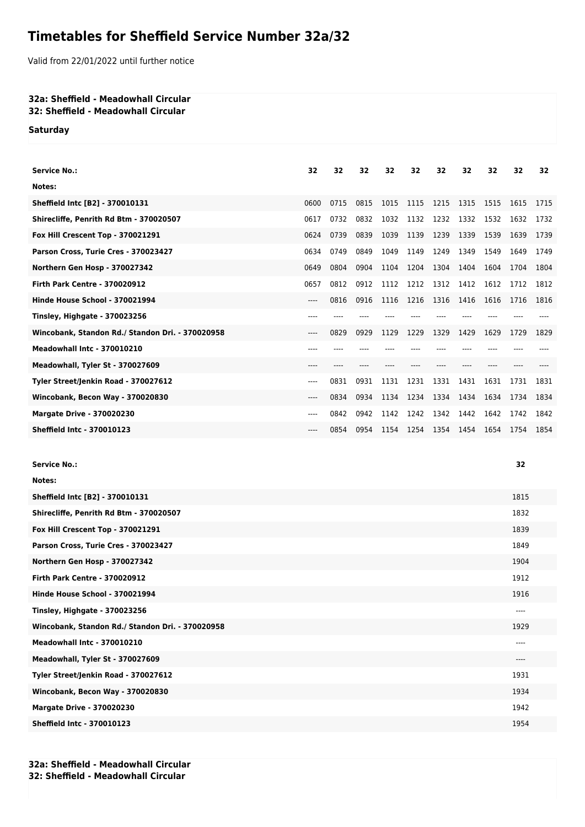## **Timetables for Sheffield Service Number 32a/32**

Valid from 22/01/2022 until further notice

## **32a: Sheffield - Meadowhall Circular**

**32: Sheffield - Meadowhall Circular**

**Saturday**

| <b>Service No.:</b>                              | 32    | 32   | 32   | 32   | 32   | 32   | 32   | 32   | 32   | 32   |
|--------------------------------------------------|-------|------|------|------|------|------|------|------|------|------|
| Notes:                                           |       |      |      |      |      |      |      |      |      |      |
| Sheffield Intc [B2] - 370010131                  | 0600  | 0715 | 0815 | 1015 | 1115 | 1215 | 1315 | 1515 | 1615 | 1715 |
| Shirecliffe, Penrith Rd Btm - 370020507          | 0617  | 0732 | 0832 | 1032 | 1132 | 1232 | 1332 | 1532 | 1632 | 1732 |
| Fox Hill Crescent Top - 370021291                | 0624  | 0739 | 0839 | 1039 | 1139 | 1239 | 1339 | 1539 | 1639 | 1739 |
| Parson Cross, Turie Cres - 370023427             | 0634  | 0749 | 0849 | 1049 | 1149 | 1249 | 1349 | 1549 | 1649 | 1749 |
| Northern Gen Hosp - 370027342                    | 0649  | 0804 | 0904 | 1104 | 1204 | 1304 | 1404 | 1604 | 1704 | 1804 |
| <b>Firth Park Centre - 370020912</b>             | 0657  | 0812 | 0912 | 1112 | 1212 | 1312 | 1412 | 1612 | 1712 | 1812 |
| Hinde House School - 370021994                   | $---$ | 0816 | 0916 | 1116 | 1216 | 1316 | 1416 | 1616 | 1716 | 1816 |
| Tinsley, Highgate - 370023256                    | ----  |      |      |      |      |      |      |      |      |      |
| Wincobank, Standon Rd./ Standon Dri. - 370020958 | $---$ | 0829 | 0929 | 1129 | 1229 | 1329 | 1429 | 1629 | 1729 | 1829 |
| <b>Meadowhall Intc - 370010210</b>               | ---   |      |      |      |      |      |      |      |      |      |
| Meadowhall, Tyler St - 370027609                 | ----  |      |      |      |      |      |      |      |      |      |
| Tyler Street/Jenkin Road - 370027612             | $---$ | 0831 | 0931 | 1131 | 1231 | 1331 | 1431 | 1631 | 1731 | 1831 |
| Wincobank, Becon Way - 370020830                 | $---$ | 0834 | 0934 | 1134 | 1234 | 1334 | 1434 | 1634 | 1734 | 1834 |
| <b>Margate Drive - 370020230</b>                 | ----  | 0842 | 0942 | 1142 | 1242 | 1342 | 1442 | 1642 | 1742 | 1842 |
| <b>Sheffield Intc - 370010123</b>                | ----  | 0854 | 0954 | 1154 | 1254 | 1354 | 1454 | 1654 | 1754 | 1854 |
|                                                  |       |      |      |      |      |      |      |      |      |      |

| Notes:<br>Sheffield Intc [B2] - 370010131<br>1815<br>Shirecliffe, Penrith Rd Btm - 370020507<br>1832<br>Fox Hill Crescent Top - 370021291<br>1839<br>Parson Cross, Turie Cres - 370023427<br>1849<br>Northern Gen Hosp - 370027342<br>1904<br><b>Firth Park Centre - 370020912</b><br>1912<br>Hinde House School - 370021994<br>1916<br><b>Tinsley, Highgate - 370023256</b><br>$-- -$<br>Wincobank, Standon Rd./ Standon Dri. - 370020958<br>1929<br><b>Meadowhall Intc - 370010210</b><br>$---$<br>Meadowhall, Tyler St - 370027609<br>$-- -$<br>Tyler Street/Jenkin Road - 370027612<br>1931<br>Wincobank, Becon Way - 370020830<br>1934<br><b>Margate Drive - 370020230</b><br>1942<br><b>Sheffield Intc - 370010123</b><br>1954 | <b>Service No.:</b> | 32 |
|--------------------------------------------------------------------------------------------------------------------------------------------------------------------------------------------------------------------------------------------------------------------------------------------------------------------------------------------------------------------------------------------------------------------------------------------------------------------------------------------------------------------------------------------------------------------------------------------------------------------------------------------------------------------------------------------------------------------------------------|---------------------|----|
|                                                                                                                                                                                                                                                                                                                                                                                                                                                                                                                                                                                                                                                                                                                                      |                     |    |
|                                                                                                                                                                                                                                                                                                                                                                                                                                                                                                                                                                                                                                                                                                                                      |                     |    |
|                                                                                                                                                                                                                                                                                                                                                                                                                                                                                                                                                                                                                                                                                                                                      |                     |    |
|                                                                                                                                                                                                                                                                                                                                                                                                                                                                                                                                                                                                                                                                                                                                      |                     |    |
|                                                                                                                                                                                                                                                                                                                                                                                                                                                                                                                                                                                                                                                                                                                                      |                     |    |
|                                                                                                                                                                                                                                                                                                                                                                                                                                                                                                                                                                                                                                                                                                                                      |                     |    |
|                                                                                                                                                                                                                                                                                                                                                                                                                                                                                                                                                                                                                                                                                                                                      |                     |    |
|                                                                                                                                                                                                                                                                                                                                                                                                                                                                                                                                                                                                                                                                                                                                      |                     |    |
|                                                                                                                                                                                                                                                                                                                                                                                                                                                                                                                                                                                                                                                                                                                                      |                     |    |
|                                                                                                                                                                                                                                                                                                                                                                                                                                                                                                                                                                                                                                                                                                                                      |                     |    |
|                                                                                                                                                                                                                                                                                                                                                                                                                                                                                                                                                                                                                                                                                                                                      |                     |    |
|                                                                                                                                                                                                                                                                                                                                                                                                                                                                                                                                                                                                                                                                                                                                      |                     |    |
|                                                                                                                                                                                                                                                                                                                                                                                                                                                                                                                                                                                                                                                                                                                                      |                     |    |
|                                                                                                                                                                                                                                                                                                                                                                                                                                                                                                                                                                                                                                                                                                                                      |                     |    |
|                                                                                                                                                                                                                                                                                                                                                                                                                                                                                                                                                                                                                                                                                                                                      |                     |    |
|                                                                                                                                                                                                                                                                                                                                                                                                                                                                                                                                                                                                                                                                                                                                      |                     |    |